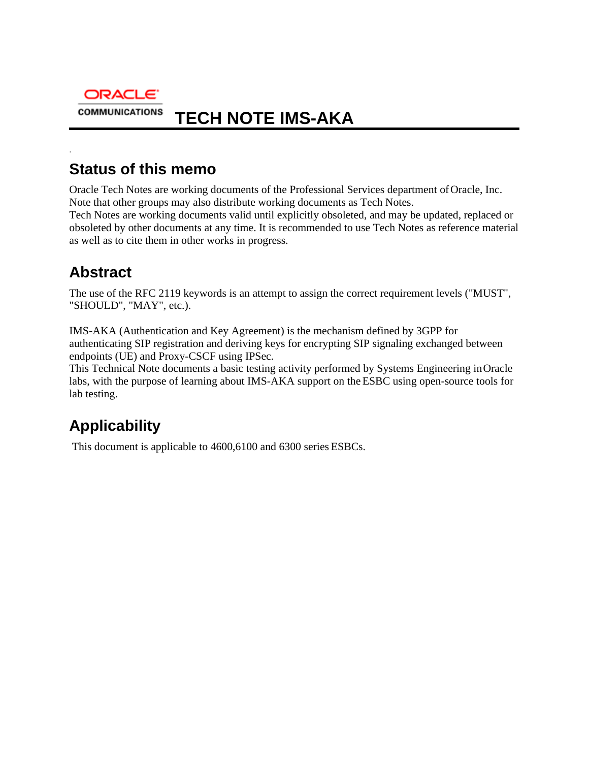

# **Status of this memo**

Oracle Tech Notes are working documents of the Professional Services department of Oracle, Inc. Note that other groups may also distribute working documents as Tech Notes. Tech Notes are working documents valid until explicitly obsoleted, and may be updated, replaced or

obsoleted by other documents at any time. It is recommended to use Tech Notes as reference material as well as to cite them in other works in progress.

# **Abstract**

.

The use of the RFC 2119 keywords is an attempt to assign the correct requirement levels ("MUST", "SHOULD", "MAY", etc.).

IMS-AKA (Authentication and Key Agreement) is the mechanism defined by 3GPP for authenticating SIP registration and deriving keys for encrypting SIP signaling exchanged between endpoints (UE) and Proxy-CSCF using IPSec.

This Technical Note documents a basic testing activity performed by Systems Engineering in Oracle labs, with the purpose of learning about IMS-AKA support on the ESBC using open-source tools for lab testing.

# **Applicability**

This document is applicable to 4600,6100 and 6300 series ESBCs.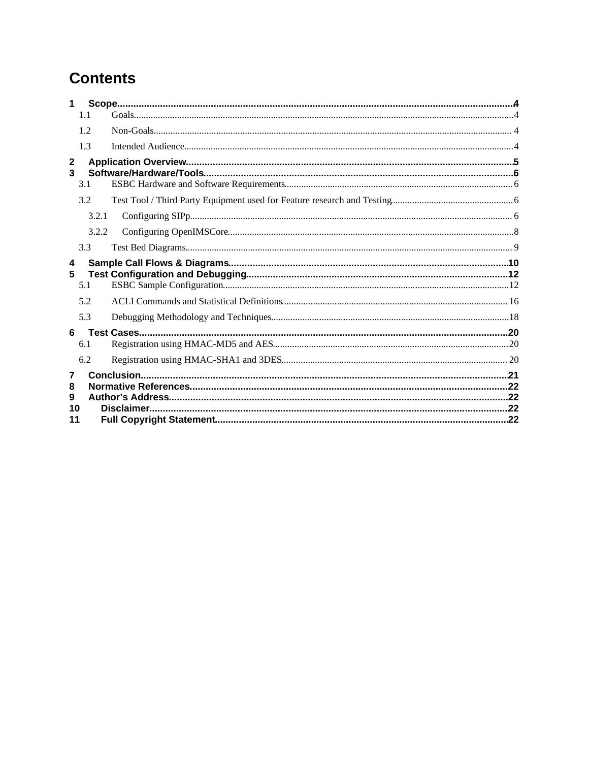# **Contents**

| 1                 |       |  |  |  |
|-------------------|-------|--|--|--|
|                   | 1.1   |  |  |  |
|                   | 1.2   |  |  |  |
|                   | 1.3   |  |  |  |
| $\mathbf{2}$<br>3 |       |  |  |  |
|                   | 3.1   |  |  |  |
|                   | 3.2   |  |  |  |
|                   | 3.2.1 |  |  |  |
|                   | 3.2.2 |  |  |  |
|                   | 3.3   |  |  |  |
| 4                 |       |  |  |  |
| 5                 | 5.1   |  |  |  |
|                   | 5.2   |  |  |  |
|                   | 5.3   |  |  |  |
| 6                 |       |  |  |  |
|                   | 6.1   |  |  |  |
|                   | 6.2   |  |  |  |
| 7                 |       |  |  |  |
| 8                 |       |  |  |  |
| 9<br>10           |       |  |  |  |
| 11                |       |  |  |  |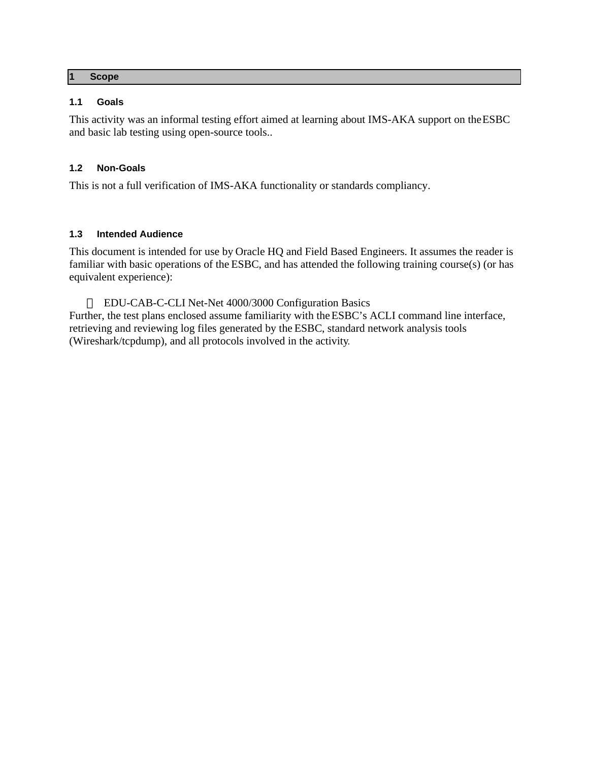#### <span id="page-3-0"></span>**1 Scope**

## <span id="page-3-1"></span>**1.1 Goals**

This activity was an informal testing effort aimed at learning about IMS-AKA support on the ESBC and basic lab testing using open-source tools..

## <span id="page-3-2"></span>**1.2 Non-Goals**

This is not a full verification of IMS-AKA functionality or standards compliancy.

## <span id="page-3-3"></span>**1.3 Intended Audience**

This document is intended for use by Oracle HQ and Field Based Engineers. It assumes the reader is familiar with basic operations of the ESBC, and has attended the following training course(s) (or has equivalent experience):

EDU-CAB-C-CLI [Net-Net 4000/3000 Configuration Basics](http://guest.cvent.com/EVENTS/Info/Agenda.aspx?e=28c2c41c-2eb3-45d4-b96c-de9d0959d351#Net_Net_4000_Configuration_Basic) Further, the test plans enclosed assume familiarity with the ESBC's ACLI command line interface, retrieving and reviewing log files generated by the ESBC, standard network analysis tools (Wireshark/tcpdump), and all protocols involved in the activity.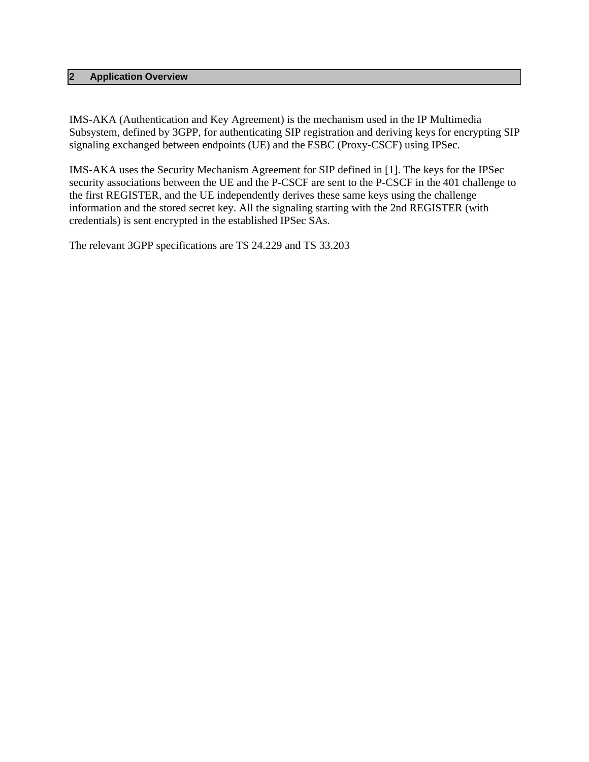### <span id="page-4-0"></span>**2 Application Overview**

IMS-AKA (Authentication and Key Agreement) is the mechanism used in the IP Multimedia Subsystem, defined by 3GPP, for authenticating SIP registration and deriving keys for encrypting SIP signaling exchanged between endpoints (UE) and the ESBC (Proxy-CSCF) using IPSec.

IMS-AKA uses the Security Mechanism Agreement for SIP defined in [1]. The keys for the IPSec security associations between the UE and the P-CSCF are sent to the P-CSCF in the 401 challenge to the first REGISTER, and the UE independently derives these same keys using the challenge information and the stored secret key. All the signaling starting with the 2nd REGISTER (with credentials) is sent encrypted in the established IPSec SAs.

The relevant 3GPP specifications are TS 24.229 and TS 33.203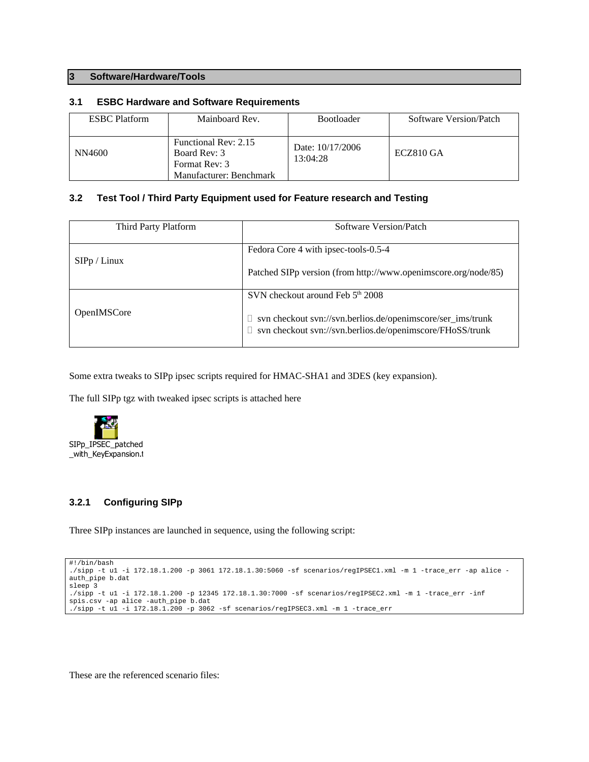#### <span id="page-5-0"></span>**3 Software/Hardware/Tools**

#### <span id="page-5-1"></span>**3.1 ESBC Hardware and Software Requirements**

| <b>ESBC</b> Platform<br>Mainboard Rev. |                                                                                  | <b>Bootloader</b>            | Software Version/Patch |
|----------------------------------------|----------------------------------------------------------------------------------|------------------------------|------------------------|
| NN4600                                 | Functional Rev: 2.15<br>Board Rev: 3<br>Format Rev: 3<br>Manufacturer: Benchmark | Date: 10/17/2006<br>13:04:28 | ECZ810 GA              |

#### <span id="page-5-2"></span>**3.2 Test Tool / Third Party Equipment used for Feature research and Testing**

| Third Party Platform | Software Version/Patch                                                                                                                                              |
|----------------------|---------------------------------------------------------------------------------------------------------------------------------------------------------------------|
| SIPp / Linux         | Fedora Core 4 with ipsec-tools-0.5-4<br>Patched SIPp version (from http://www.openimscore.org/node/85)                                                              |
| OpenIMSCore          | SVN checkout around Feb 5th 2008<br>svn checkout svn://svn.berlios.de/openimscore/ser_ims/trunk<br>$\Box$ svn checkout svn://svn.berlios.de/openimscore/FHoSS/trunk |

Some extra tweaks to SIPp ipsec scripts required for HMAC-SHA1 and 3DES (key expansion).

The full SIPp tgz with tweaked ipsec scripts is attached here



## <span id="page-5-3"></span>**3.2.1 Configuring SIPp**

Three SIPp instances are launched in sequence, using the following script:

```
#!/bin/bash
./sipp -t u1 -i 172.18.1.200 -p 3061 172.18.1.30:5060 -sf scenarios/regIPSEC1.xml -m 1 -trace_err -ap alice -
auth_pipe b.dat
sleep 3
./sipp -t u1 -i 172.18.1.200 -p 12345 172.18.1.30:7000 -sf scenarios/regIPSEC2.xml -m 1 -trace_err -inf 
spis.csv -ap alice -auth_pipe b.dat
./sipp -t u1 -i 172.18.1.200 -p 3062 -sf scenarios/regIPSEC3.xml -m 1 -trace_err
```
These are the referenced scenario files: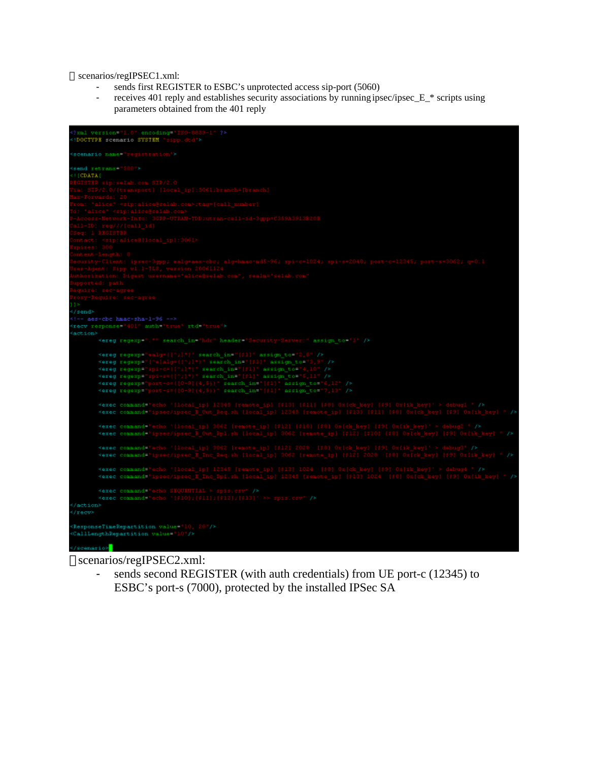scenarios/regIPSEC1.xml:

- sends first REGISTER to ESBC's unprotected access sip-port (5060)
- receives 401 reply and establishes security associations by running ipsec/ipsec\_E\_\* scripts using parameters obtained from the 401 reply



# scenarios/regIPSEC2.xml:

sends second REGISTER (with auth credentials) from UE port-c (12345) to ESBC's port-s (7000), protected by the installed IPSec SA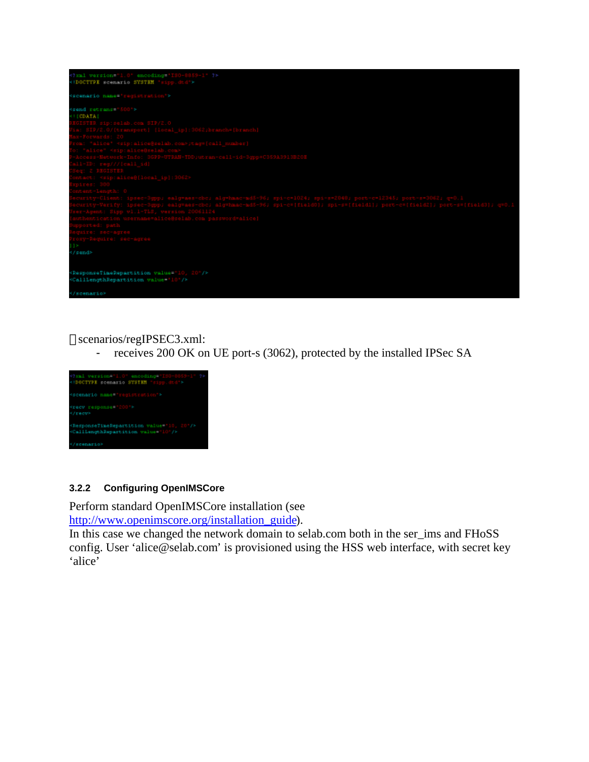

scenarios/regIPSEC3.xml:

- receives 200 OK on UE port-s (3062), protected by the installed IPSec SA



# <span id="page-7-0"></span>**3.2.2 Configuring OpenIMSCore**

Perform standard OpenIMSCore installation (see [http://www.openimscore.org/installation\\_guide](http://www.openimscore.org/installation_guide)).

In this case we changed the network domain to selab.com both in the ser\_ims and FHoSS config. User 'alice@selab.com' is provisioned using the HSS web interface, with secret key 'alice'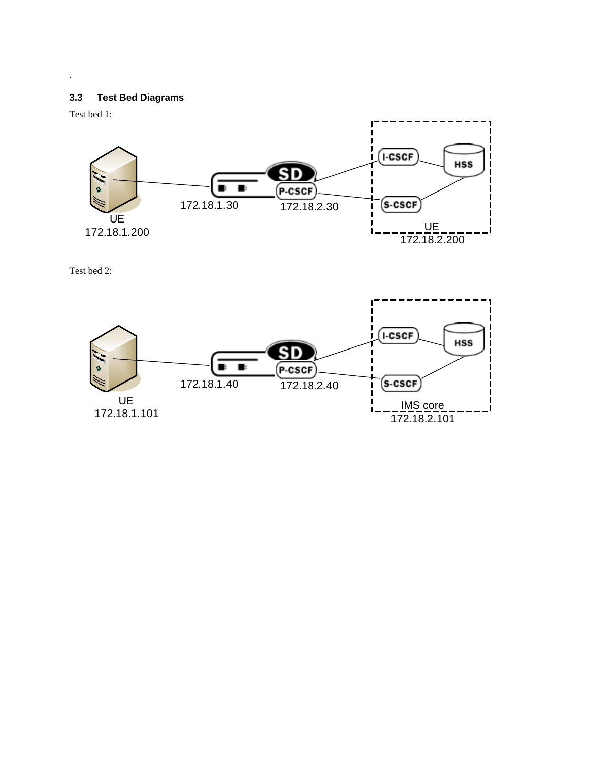# **3.3 Test Bed Diagrams**



Test bed 2:

<span id="page-8-0"></span>.

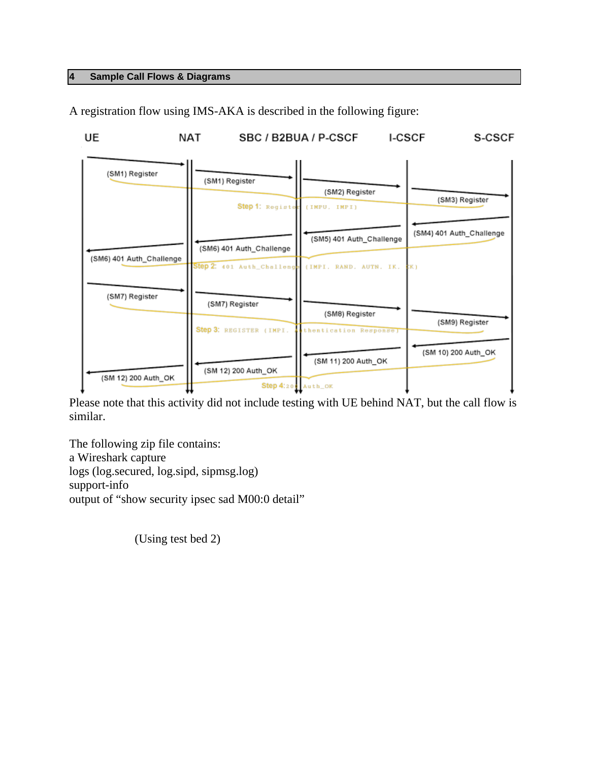# <span id="page-9-0"></span>**4 Sample Call Flows & Diagrams**

UE **NAT** SBC / B2BUA / P-CSCF **I-CSCF** S-CSCF (SM1) Register (SM1) Register (SM2) Register (SM3) Register Step 1: Registe (IMPU, IMPI) (SM4) 401 Auth\_Challenge (SM5) 401 Auth\_Challenge (SM6) 401 Auth\_Challenge (SM6) 401 Auth\_Challenge tep 2: 401 Auth\_Challeng (IMPI. RAND. AUTN. IK. K) (SM7) Register (SM7) Register (SM8) Register (SM9) Register Step 3: REGISTER (IMPI. thentication Response (SM 10) 200 Auth\_OK (SM 11) 200 Auth\_OK (SM 12) 200 Auth\_OK (SM 12) 200 Auth\_OK Step 4:20 Auth\_OK

A registration flow using IMS-AKA is described in the following figure:

Please note that this activity did not include testing with UE behind NAT, but the call flow is similar.

The following zip file contains: a Wireshark capture logs (log.secured, log.sipd, sipmsg.log) support-info output of "show security ipsec sad M00:0 detail"

(Using test bed 2)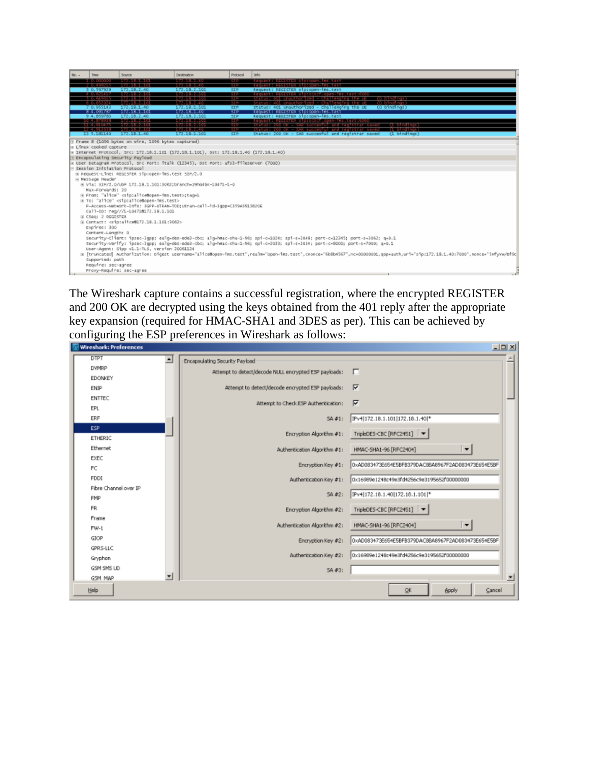| Me. - | Time                                                                                                                                                                      | Source                                                                                                                                                                                                                                                           | Destination                                                                           | Protocol                          | Irio                                                                                                                                                                          |  |  |  |
|-------|---------------------------------------------------------------------------------------------------------------------------------------------------------------------------|------------------------------------------------------------------------------------------------------------------------------------------------------------------------------------------------------------------------------------------------------------------|---------------------------------------------------------------------------------------|-----------------------------------|-------------------------------------------------------------------------------------------------------------------------------------------------------------------------------|--|--|--|
|       |                                                                                                                                                                           | <b><i><u>ALCOHOL: ALCOHOL: 2012 COM</u></i></b>                                                                                                                                                                                                                  |                                                                                       | <b>START</b>                      | Request: REGISTER Storopen-ims.test                                                                                                                                           |  |  |  |
|       | 0.597929                                                                                                                                                                  | 172.18.2.40                                                                                                                                                                                                                                                      | <b><i><u>ALCOHOL: UNITED</u></i></b><br>172.18.2.101                                  | <b>START</b><br><b>STP</b>        | Requester Regional Protection Test and<br>Request: REGISTER sip:open-imm.test                                                                                                 |  |  |  |
|       | <b>A. D. A. LALLY</b>                                                                                                                                                     | <b><i><u>Program and Contract Contract Contract Contract Contract Contract Contract Contract Contract Contract Contract Contract Contract Contract Contract Contract Contract Contract Contract Contract Contract Contract Contract </u></i></b>                 | <b><i><u>ALCOHOL: ALCOHOL:</u></i></b>                                                | 5.140                             | Request: REGISTER sin:scscf.open-ims.test:60                                                                                                                                  |  |  |  |
|       |                                                                                                                                                                           |                                                                                                                                                                                                                                                                  | <b><i>CONTRACTOR</i></b>                                                              | 5.140                             | <b>TOTAL DESIGNATI</b><br>tallenging the U                                                                                                                                    |  |  |  |
|       | 7 0.955143                                                                                                                                                                | 172.18.1.40                                                                                                                                                                                                                                                      | <b><i><u>Programment</u></i></b><br>172.18.1.101                                      | 5.1.15<br>STP.                    | – cha lenging the u<br><b>COMMENT COM</b><br>(0 bindings)<br>status: 401 Unauthorized - challenging the UE                                                                    |  |  |  |
|       | 84.091787                                                                                                                                                                 | 172, 18, 1, 101                                                                                                                                                                                                                                                  | 177 18.1.40                                                                           | $\overline{\mathbb{E}\mathbb{P}}$ | Request: REGESTER STOIGDEN-THS.test                                                                                                                                           |  |  |  |
|       | 9 4.859783                                                                                                                                                                | 172.18.2.40                                                                                                                                                                                                                                                      | 172.18.2.101                                                                          | SIP.                              | Request: REGISTER sip:open-ims.test                                                                                                                                           |  |  |  |
|       | <b>AND REPORT OF A STATE OF A</b><br><b>TELEVISION</b>                                                                                                                    | <b><i><u>PARTIES COMMUNISTIES COMMUNISTIES COMMUNISTIES COMMUNISTIES COMMUNISTIES COMMUNISTIES COMMUNISTIES COMMUNISTIES COMMUNISTIES COMMUNISTIES COMMUNISTIES COMMUNISTIES COMMUNISTIES COMMUNISTIES COMMUNISTIES COMMUNISTIES COM</u></i></b><br>199315-00101 | <b><i><u>ALCOHOL: WAS DIDNEY</u></i></b><br><b><i><u>ALCOHOL: WEBSITE</u></i></b>     | <b>STEP</b><br><b>STEP</b>        | Request a Replace of Dascell connection (as Conco<br><b>CLEAR IN THE REAL</b><br><b>STATISTICS</b> CONTROL                                                                    |  |  |  |
|       |                                                                                                                                                                           |                                                                                                                                                                                                                                                                  | <b>DATE IN THE U</b>                                                                  | $\sim$                            | - SAR succestul and registrar saves                                                                                                                                           |  |  |  |
|       | 11 5.181140                                                                                                                                                               | 172.18.1.40                                                                                                                                                                                                                                                      | 172.18.1.101                                                                          | <b>STP</b>                        | Status: 200 OK - SAR succesful and registrar saved<br>(1 bindings)                                                                                                            |  |  |  |
|       |                                                                                                                                                                           | E Frame 8 (1096 bytes on wire, 1096 bytes captured)                                                                                                                                                                                                              |                                                                                       |                                   |                                                                                                                                                                               |  |  |  |
|       | in Linux cooked capture                                                                                                                                                   |                                                                                                                                                                                                                                                                  |                                                                                       |                                   |                                                                                                                                                                               |  |  |  |
|       |                                                                                                                                                                           |                                                                                                                                                                                                                                                                  | = Internet Protocol, Src: 172.18.1.101 (172.18.1.101), DSt: 172.18.1.40 (172.18.1.40) |                                   |                                                                                                                                                                               |  |  |  |
|       |                                                                                                                                                                           | <b>E Encapsulating Security Payload</b>                                                                                                                                                                                                                          |                                                                                       |                                   |                                                                                                                                                                               |  |  |  |
|       |                                                                                                                                                                           |                                                                                                                                                                                                                                                                  | a user patagram Protocol, src Port: italk (12345), pst Port: afs3-fileserver (7000)   |                                   |                                                                                                                                                                               |  |  |  |
|       | E Session Initiation Protocol                                                                                                                                             |                                                                                                                                                                                                                                                                  |                                                                                       |                                   |                                                                                                                                                                               |  |  |  |
|       | E Message Header                                                                                                                                                          | m Request-Line: REGISTER sip:coen-ims.test SIP/2.0                                                                                                                                                                                                               |                                                                                       |                                   |                                                                                                                                                                               |  |  |  |
|       |                                                                                                                                                                           |                                                                                                                                                                                                                                                                  | E V1a: SIP/2.0/UDP 172.18.1.101:3062;branch=z9h6dbK-10471-1-0                         |                                   |                                                                                                                                                                               |  |  |  |
|       | Max-Porwards: 20                                                                                                                                                          |                                                                                                                                                                                                                                                                  |                                                                                       |                                   |                                                                                                                                                                               |  |  |  |
|       |                                                                                                                                                                           | E From: "alice" caip:alice@open-imm.test>;tage1                                                                                                                                                                                                                  |                                                                                       |                                   |                                                                                                                                                                               |  |  |  |
|       |                                                                                                                                                                           | m To: "alice" <sip:alice@open-ims.test></sip:alice@open-ims.test>                                                                                                                                                                                                |                                                                                       |                                   |                                                                                                                                                                               |  |  |  |
|       |                                                                                                                                                                           |                                                                                                                                                                                                                                                                  | P-Access-Network-Info: 3GPP-UTRAN-TDD; Utran-call-fd-3gpp=C359A3913820E               |                                   |                                                                                                                                                                               |  |  |  |
|       |                                                                                                                                                                           | Call-ID: reg///1-104710172.18.1.101                                                                                                                                                                                                                              |                                                                                       |                                   |                                                                                                                                                                               |  |  |  |
|       | H CS001 2 REGISTER                                                                                                                                                        |                                                                                                                                                                                                                                                                  |                                                                                       |                                   |                                                                                                                                                                               |  |  |  |
|       |                                                                                                                                                                           | E Contact: <sip:alice@172.18.1.101:3062></sip:alice@172.18.1.101:3062>                                                                                                                                                                                           |                                                                                       |                                   |                                                                                                                                                                               |  |  |  |
|       | Expires: 300                                                                                                                                                              |                                                                                                                                                                                                                                                                  |                                                                                       |                                   |                                                                                                                                                                               |  |  |  |
|       | Content-Length: 0                                                                                                                                                         |                                                                                                                                                                                                                                                                  |                                                                                       |                                   |                                                                                                                                                                               |  |  |  |
|       | Security-Client: ipsec-3gpp; ealg=des-ede3-cbc; alg=hmac-sha-1-96; sp1-c=1024; sp1-s=2048; port-c=12345; port-s=3062; g=0.1                                               |                                                                                                                                                                                                                                                                  |                                                                                       |                                   |                                                                                                                                                                               |  |  |  |
|       | Security-verify: ipsec-3gpp; ealg-des-ede3-cbc; alg-hmac-sha-1-96; spi-c=2033; spi-s=2034; port-c=8000; port-s=7000; g=0.1<br>User-Agent: Sipp v1.1-TLS, version 20061124 |                                                                                                                                                                                                                                                                  |                                                                                       |                                   |                                                                                                                                                                               |  |  |  |
|       |                                                                                                                                                                           |                                                                                                                                                                                                                                                                  |                                                                                       |                                   | m [truncated] Authorization: pigest username="alice@coen-ims.test".realm="open-ims.test".cnonce="6b8b4567".nc=00000001.gop=auth.uri="sip:172.18.1.40:7000".nonce="5Hfyrw/Bf9c |  |  |  |
|       | Supported: path                                                                                                                                                           |                                                                                                                                                                                                                                                                  |                                                                                       |                                   |                                                                                                                                                                               |  |  |  |
|       | hequire: sec-agree                                                                                                                                                        |                                                                                                                                                                                                                                                                  |                                                                                       |                                   |                                                                                                                                                                               |  |  |  |
|       | Proxy-Reguline: sec-agree                                                                                                                                                 |                                                                                                                                                                                                                                                                  |                                                                                       |                                   |                                                                                                                                                                               |  |  |  |
|       |                                                                                                                                                                           |                                                                                                                                                                                                                                                                  |                                                                                       |                                   |                                                                                                                                                                               |  |  |  |

The Wireshark capture contains a successful registration, where the encrypted REGISTER and 200 OK are decrypted using the keys obtained from the 401 reply after the appropriate key expansion (required for HMAC-SHA1 and 3DES as per). This can be achieved by configuring the ESP preferences in Wireshark as follows:

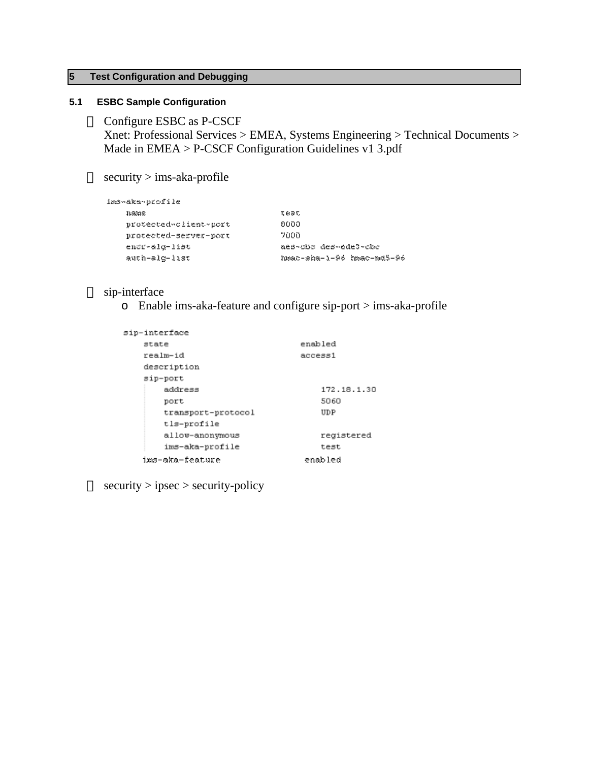# <span id="page-11-0"></span>**5 Test Configuration and Debugging**

# **5.1 ESBC Sample Configuration**

<span id="page-11-1"></span>Configure ESBC as P-CSCF Xnet: Professional Services > EMEA, Systems Engineering > Technical Documents > Made in EMEA > P-CSCF Configuration Guidelines v1 3.pdf

security > ims-aka-profile

| imó~áka~profile       |                           |
|-----------------------|---------------------------|
| ກສທຣ                  | 刀扇彦肌                      |
| protected-client-port | 0000                      |
| protected-server-port | 7000.                     |
| encr-slg-list         | aes-che des-ede3-che      |
| auth-alg-list         | hmac-sha-1-96 hmac-md5-96 |

# sip-interface

o Enable ims-aka-feature and configure sip-port > ims-aka-profile

| sip-interface      |             |  |  |
|--------------------|-------------|--|--|
| state              | enabled     |  |  |
| realm-id           | access1     |  |  |
| description        |             |  |  |
| sip-port           |             |  |  |
| address            | 172.18.1.30 |  |  |
| port               | 5060        |  |  |
| transport-protocol | UDP         |  |  |
| tls-profile        |             |  |  |
| allow-anonymous    | registered  |  |  |
| ims-aka-profile    | test        |  |  |
| ims-aka-feature    | enabled     |  |  |

security > ipsec > security-policy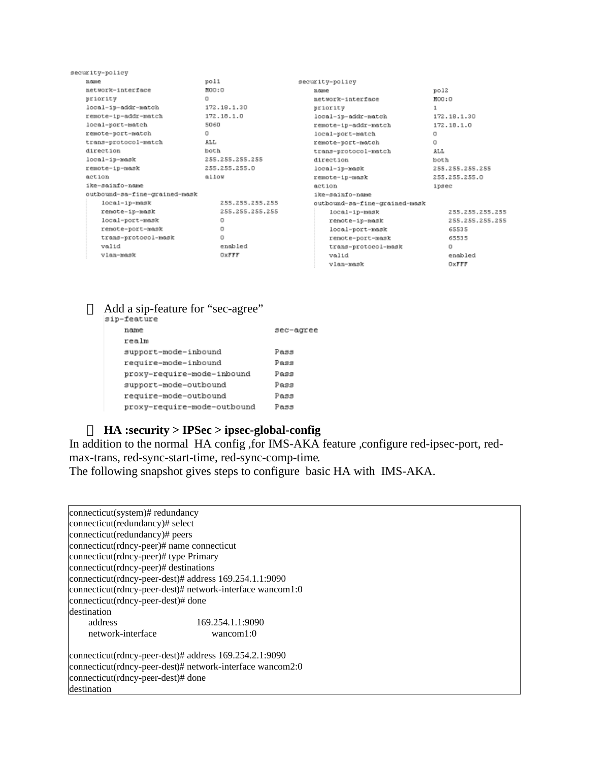| security-policy               |        |                 |                               |                   |                 |
|-------------------------------|--------|-----------------|-------------------------------|-------------------|-----------------|
| name                          | poll   |                 | security-policy               |                   |                 |
| network-interface             | MOO: O |                 | 21/02/16                      | p <sub>0</sub> 12 |                 |
| priority                      | o      |                 | network-interface             | MOO: O            |                 |
| local-ip-addr-match           |        | 172.18.1.30     | priority                      | 1                 |                 |
| remote-ip-addr-match          |        | 172.18.1.0      | local-ip-addr-match           |                   | 172.18.1.30     |
| local-port-match              | 5060   |                 | remote-ip-addr-match          |                   | 172.18.1.0      |
| remote-port-match             | o      |                 | local-port-match              | $\Box$            |                 |
| trans-protocol-match          | ALL    |                 | remote-port-match             | o                 |                 |
| direction                     | both   |                 | trans-protocol-match          | ALL               |                 |
| local-ip-mask                 |        | 255.255.255.255 | direction                     | both              |                 |
| remote-ip-mask                |        | 255.255.255.0   | local-ip-mask                 |                   | 255.255.255.255 |
| action                        | allow  |                 | remote-ip-mask                |                   | 255.255.255.0   |
| ike-sainfo-name               |        |                 | action                        | ipsec             |                 |
| outbound-sa-fine-grained-mask |        |                 | ike-sainfo-name               |                   |                 |
| $local-ip-mark$               |        | 255.255.255.255 | outbound-sa-fine-grained-mask |                   |                 |
| remote-ip-mask                |        | 255.255.255.255 | $local-up-mask$               |                   | 255.255.255.255 |
| local-port-mask               |        | o               | remote-ip-mask                |                   | 255.255.255.255 |
| remote-port-mask              |        | O               | local-port-mask               |                   | 65535           |
| trans-protocol-mask           |        | O               | remote-port-mask              |                   | 65535           |
| valid                         |        | enabled         | trans-protocol-mask           |                   | o               |
| vlan-mask                     |        | OXFFF           | valid                         |                   | enabled         |
|                               |        |                 | vlan-mask                     |                   | OXFFF           |

# Add a sip-feature for "sec-agree"

| sip-feature                 |           |
|-----------------------------|-----------|
| name                        | sec-agree |
| realm                       |           |
| support-mode-inbound        | Pass      |
| require-mode-inbound        | Pass      |
| proxy-require-mode-inbound  | Pass      |
| support-mode-outbound       | Pass      |
| require-mode-outbound       | Pass      |
| proxy-require-mode-outbound | Pass      |
|                             |           |

## **HA :security > IPSec > ipsec-global-config**

In addition to the normal HA config ,for IMS-AKA feature ,configure red-ipsec-port, redmax-trans, red-sync-start-time, red-sync-comp-time.

The following snapshot gives steps to configure basic HA with IMS-AKA.

| connecticut(system)# redundancy                                      |  |  |  |  |  |  |
|----------------------------------------------------------------------|--|--|--|--|--|--|
| connecticut(redundancy)# select                                      |  |  |  |  |  |  |
| connecticut(redundancy)# peers                                       |  |  |  |  |  |  |
| connecticut(rdncy-peer)# name connecticut                            |  |  |  |  |  |  |
| connecticut(rdncy-peer)# type Primary                                |  |  |  |  |  |  |
| connecticut(rdncy-peer)# destinations                                |  |  |  |  |  |  |
| connecticut(rdncy-peer-dest)# address 169.254.1.1:9090               |  |  |  |  |  |  |
| connecticut(rdncy-peer-dest)# network-interface wancom1:0            |  |  |  |  |  |  |
| connecticut(rdncy-peer-dest)# done                                   |  |  |  |  |  |  |
| destination                                                          |  |  |  |  |  |  |
| address<br>169.254.1.1:9090                                          |  |  |  |  |  |  |
| network-interface<br>wancom $1:0$                                    |  |  |  |  |  |  |
| $\frac{1}{2}$ connecticut(rdncy-peer-dest)# address 169.254.2.1:9090 |  |  |  |  |  |  |
| connecticut(rdncy-peer-dest)# network-interface wancom2:0            |  |  |  |  |  |  |
| connecticut(rdncy-peer-dest)# done                                   |  |  |  |  |  |  |
| destination                                                          |  |  |  |  |  |  |
|                                                                      |  |  |  |  |  |  |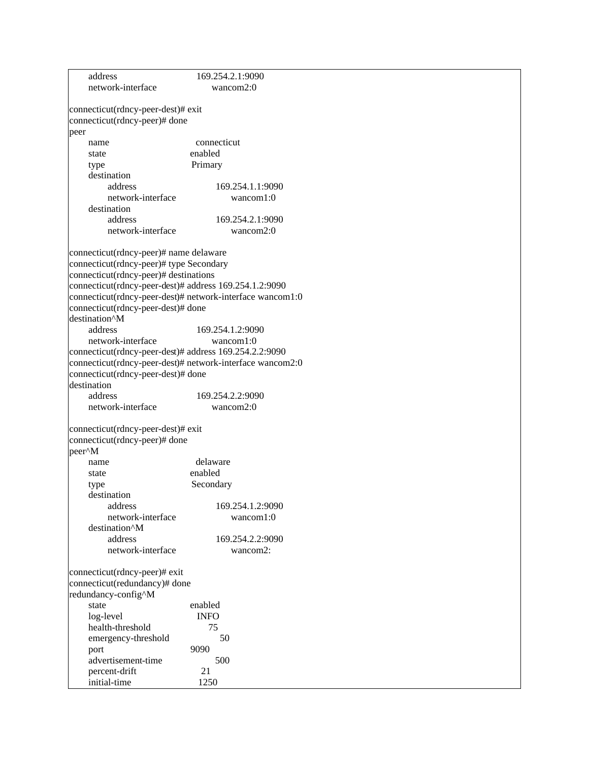| network-interface<br>wancom $2:0$<br>connecticut(rdncy-peer-dest)# exit |  |
|-------------------------------------------------------------------------|--|
|                                                                         |  |
|                                                                         |  |
|                                                                         |  |
| connecticut(rdncy-peer)# done                                           |  |
| peer                                                                    |  |
| connecticut<br>name                                                     |  |
| enabled<br>state                                                        |  |
| Primary<br>type                                                         |  |
| destination                                                             |  |
| address<br>169.254.1.1:9090                                             |  |
| network-interface<br>wancom1:0                                          |  |
| destination                                                             |  |
| address<br>169.254.2.1:9090                                             |  |
| network-interface<br>wancom $2:0$                                       |  |
|                                                                         |  |
| connecticut(rdncy-peer)# name delaware                                  |  |
| connecticut(rdncy-peer)# type Secondary                                 |  |
| connecticut(rdncy-peer)# destinations                                   |  |
| connecticut(rdncy-peer-dest)# address 169.254.1.2:9090                  |  |
| connecticut(rdncy-peer-dest)# network-interface wancom1:0               |  |
| connecticut(rdncy-peer-dest)# done                                      |  |
| destination <sup>^</sup> M                                              |  |
| address<br>169.254.1.2:9090                                             |  |
| network-interface<br>wancom1:0                                          |  |
| connecticut(rdncy-peer-dest)# address 169.254.2.2:9090                  |  |
| connecticut(rdncy-peer-dest)# network-interface wancom2:0               |  |
| connecticut(rdncy-peer-dest)# done                                      |  |
| destination                                                             |  |
| address<br>169.254.2.2:9090                                             |  |
| network-interface<br>wancom2:0                                          |  |
| connecticut(rdncy-peer-dest)# exit                                      |  |
| connecticut(rdncy-peer)# done                                           |  |
| peer <sup>^</sup> M                                                     |  |
| delaware<br>name                                                        |  |
| enabled<br>state                                                        |  |
| Secondary                                                               |  |
| type<br>destination                                                     |  |
| 169.254.1.2:9090<br>address                                             |  |
| network-interface<br>wancom1:0                                          |  |
| destination <sup>^</sup> M                                              |  |
| address<br>169.254.2.2:9090                                             |  |
| network-interface<br>wancom2:                                           |  |
|                                                                         |  |
| connecticut(rdncy-peer)# exit                                           |  |
| connecticut(redundancy)# done                                           |  |
| redundancy-config^M                                                     |  |
| state<br>enabled                                                        |  |
| <b>INFO</b><br>log-level                                                |  |
| health-threshold<br>75                                                  |  |
| emergency-threshold<br>50                                               |  |
| 9090<br>port                                                            |  |
| advertisement-time<br>500                                               |  |
| 21<br>percent-drift                                                     |  |
| initial-time<br>1250                                                    |  |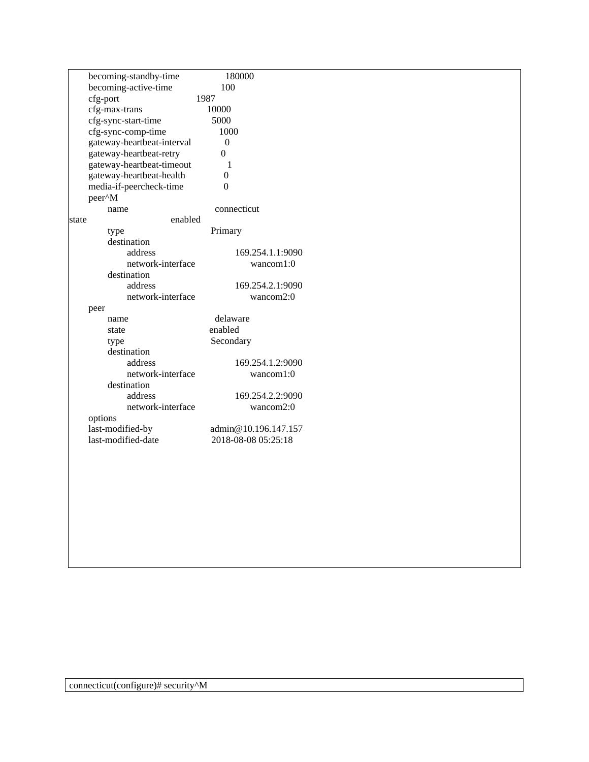|       | becoming-standby-time      | 180000              |                      |
|-------|----------------------------|---------------------|----------------------|
|       | becoming-active-time       | 100                 |                      |
|       | cfg-port                   | 1987                |                      |
|       | cfg-max-trans              | 10000               |                      |
|       | cfg-sync-start-time        | 5000                |                      |
|       | cfg-sync-comp-time         | 1000                |                      |
|       | gateway-heartbeat-interval | $\boldsymbol{0}$    |                      |
|       | gateway-heartbeat-retry    | $\boldsymbol{0}$    |                      |
|       | gateway-heartbeat-timeout  | $\mathbf{1}$        |                      |
|       | gateway-heartbeat-health   | $\boldsymbol{0}$    |                      |
|       | media-if-peercheck-time    | $\boldsymbol{0}$    |                      |
|       | peer^M                     |                     |                      |
|       | name                       | connecticut         |                      |
| state | enabled                    |                     |                      |
|       | type                       | Primary             |                      |
|       | destination                |                     |                      |
|       | address                    |                     | 169.254.1.1:9090     |
|       | network-interface          |                     | wancom1:0            |
|       | destination                |                     |                      |
|       | address                    |                     |                      |
|       |                            |                     | 169.254.2.1:9090     |
|       | network-interface          |                     | wancom2:0            |
|       | peer                       |                     |                      |
|       | name                       | delaware            |                      |
|       | state                      | enabled             |                      |
|       | type                       | Secondary           |                      |
|       | destination                |                     |                      |
|       | address                    |                     | 169.254.1.2:9090     |
|       | network-interface          |                     | wancom1:0            |
|       | destination                |                     |                      |
|       | address                    |                     | 169.254.2.2:9090     |
|       | network-interface          |                     | wancom2:0            |
|       | options                    |                     |                      |
|       | last-modified-by           |                     | admin@10.196.147.157 |
|       | last-modified-date         | 2018-08-08 05:25:18 |                      |
|       |                            |                     |                      |
|       |                            |                     |                      |
|       |                            |                     |                      |
|       |                            |                     |                      |
|       |                            |                     |                      |
|       |                            |                     |                      |
|       |                            |                     |                      |
|       |                            |                     |                      |
|       |                            |                     |                      |
|       |                            |                     |                      |
|       |                            |                     |                      |
|       |                            |                     |                      |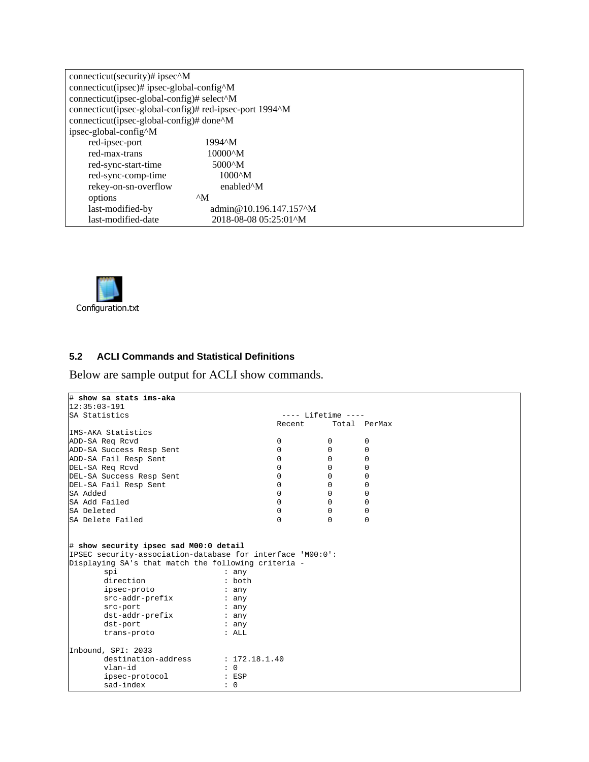| connecticut(security)# ipsec^M                          |                                        |  |  |  |  |
|---------------------------------------------------------|----------------------------------------|--|--|--|--|
| connecticut(ipsec)# ipsec-global-config^M               |                                        |  |  |  |  |
| connecticut(ipsec-global-config)# select^M              |                                        |  |  |  |  |
| connecticut(ipsec-global-config)# red-ipsec-port 1994^M |                                        |  |  |  |  |
| connecticut(ipsec-global-config)# done^M                |                                        |  |  |  |  |
| ipsec-global-config^M                                   |                                        |  |  |  |  |
| red-ipsec-port                                          | 1994^M                                 |  |  |  |  |
| red-max-trans                                           | $10000^{\circ}$ M                      |  |  |  |  |
| red-sync-start-time                                     | 5000 <sup><math>\lambda</math></sup> M |  |  |  |  |
| red-sync-comp-time                                      | $1000^{\circ}$ M                       |  |  |  |  |
| rekey-on-sn-overflow                                    | enabled <sup>^</sup> M                 |  |  |  |  |
| options                                                 | $^{\wedge}$ M                          |  |  |  |  |
| last-modified-by                                        | admin@10.196.147.157^M                 |  |  |  |  |
| last-modified-date                                      | 2018-08-08 05:25:01^M                  |  |  |  |  |



# <span id="page-15-0"></span>**5.2 ACLI Commands and Statistical Definitions**

Below are sample output for ACLI show commands.

| # show sa stats ims-aka                                                 |                 |          |                      |              |
|-------------------------------------------------------------------------|-----------------|----------|----------------------|--------------|
| $12:35:03-191$                                                          |                 |          |                      |              |
| SA Statistics                                                           |                 |          | $---$ Lifetime $---$ |              |
|                                                                         |                 | Recent   |                      | Total PerMax |
| IMS-AKA Statistics                                                      |                 |          |                      |              |
| ADD-SA Req Rcvd                                                         |                 | 0        | 0                    | 0            |
| ADD-SA Success Resp Sent                                                |                 | $\Omega$ | $\mathbf 0$          | 0            |
| ADD-SA Fail Resp Sent                                                   |                 | $\Omega$ | $\Omega$             | $\Omega$     |
| DEL-SA Reg Rcvd                                                         |                 | $\Omega$ | $\Omega$             | $\Omega$     |
| DEL-SA Success Resp Sent                                                |                 | $\Omega$ | $\Omega$             | 0            |
| DEL-SA Fail Resp Sent                                                   |                 | $\Omega$ | $\Omega$             | 0            |
| SA Added                                                                |                 | $\Omega$ | 0                    | 0            |
| SA Add Failed                                                           |                 | $\Omega$ | $\Omega$             | $\Omega$     |
| SA Deleted                                                              |                 | $\Omega$ | $\Omega$             | $\Omega$     |
| SA Delete Failed                                                        |                 | $\cap$   | $\Omega$             | $\Omega$     |
| Displaying SA's that match the following criteria -<br>spi<br>direction | : any<br>: both |          |                      |              |
| ipsec-proto                                                             | : any           |          |                      |              |
| src-addr-prefix                                                         | : any           |          |                      |              |
| src-port                                                                | : any           |          |                      |              |
|                                                                         |                 |          |                      |              |
| dst-addr-prefix                                                         | : any           |          |                      |              |
| dst-port                                                                | : any           |          |                      |              |
| trans-proto                                                             | : ALL           |          |                      |              |
| Inbound, SPI: 2033                                                      |                 |          |                      |              |
| destination-address                                                     | : 172.18.1.40   |          |                      |              |
| vlan-id                                                                 | $\colon 0$      |          |                      |              |
| ipsec-protocol                                                          | $:$ ESP         |          |                      |              |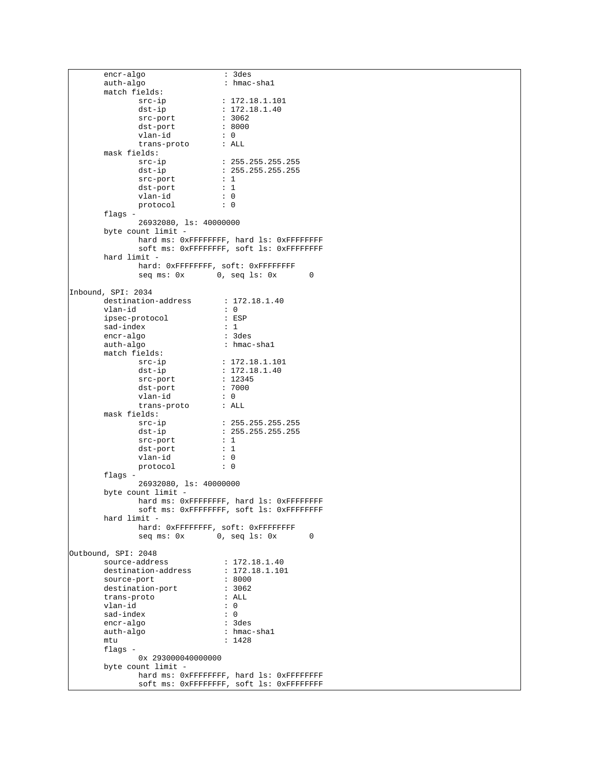encr-algo : 3des<br>auth-algo : hmac : hmac-shal match fields: src-ip : 172.18.1.101<br>dst-ip : 172.18.1.40  $: 172.18.1.40$ <br> $: 3062$ src-port : 3062<br>dst-port : 8000 dst-port : 80<br>
vlan-id : 0 vlan-id : 0<br>trans-proto : ALL trans-proto mask fields: src-ip : 255.255.255.255<br>dst-ip : 255.255.255.255  $: 255.255.255.255$ src-port : 1<br>dst-port : 1 dst-port : 1<br>vlan-id : 0 vlan-id : 0<br>protocol : 0 protocol flags -26932080, ls: 40000000 byte count limit hard ms: 0xFFFFFFFF, hard ls: 0xFFFFFFFF soft ms: 0xFFFFFFFF, soft ls: 0xFFFFFFFF hard limit hard: 0xFFFFFFFF, soft: 0xFFFFFFFF  $\sec \pi s : 0x$  0,  $\sec 1s : 0x$  0 Inbound, SPI: 2034  ${\tt destination-address} \qquad \qquad :\; 172.18.1.40$   $\verb|vlan-id| \qquad \qquad :\; 0$ vlan-id : 0 ipsec-protocol : ESP sad-index : 1 encr-algo auth-algo : hmac-shal match fields: src-ip : 172.18.1.101<br>dst-ip : 172.18.1.40  $: 172.18.1.40$   $: 12345$ src-port : 1234<br>dst-port : 7000 dst-port : 70<br>
vlan-id : 0 vlan-id : 0<br>trans-proto : ALL trans-proto mask fields: src-ip : 255.255.255.255 dst-ip : 255.255.255.255<br>src-port : 1 src-port : 1<br>dst-port : 1 dst-port : 1<br>vlan-id : 0 vlan-id protocol : 0 flags - 26932080, ls: 40000000 byte count limit hard ms: 0xFFFFFFFF, hard ls: 0xFFFFFFFF soft ms: 0xFFFFFFFF, soft ls: 0xFFFFFFFF hard limit hard: 0xFFFFFFFF, soft: 0xFFFFFFFF seq ms: 0x 0, seq ls: 0x 0 Outbound, SPI: 2048 source-address : 172.18.1.40<br>destination-address : 172.18.1.101 destination-address : 172.1<br>source-port : 8000 source-port : 8000 destination-port : 306<br>trans-proto : ALL trans-proto vlan-id : 0 sad-index : 0<br>encr-algo : 3des encr-algo auth-algo : hmac-shal<br>mtu : 1428  $: 1428$ flags - 0x 293000040000000 byte count limit hard ms: 0xFFFFFFFF, hard ls: 0xFFFFFFFF soft ms: 0xFFFFFFFF, soft ls: 0xFFFFFFFF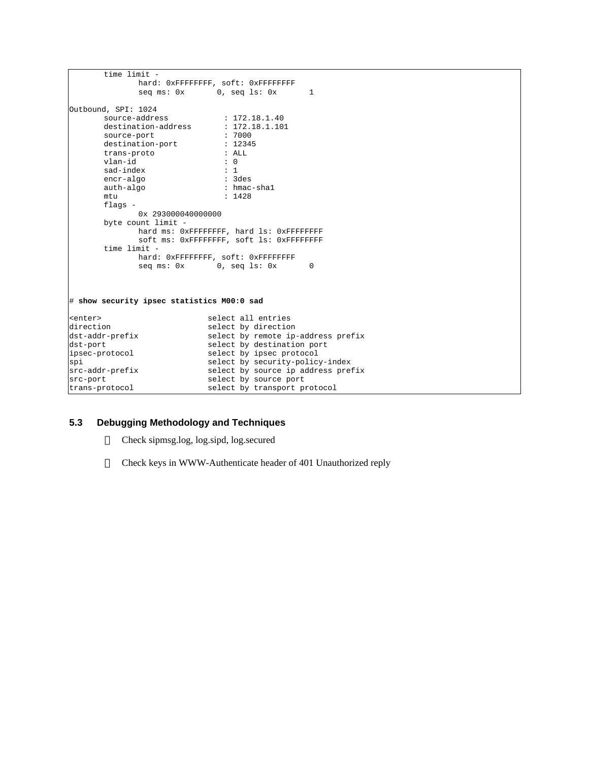```
time limit - 
                hard: 0xFFFFFFFF, soft: 0xFFFFFFFF
                seq ms: 0x 0, seq ls: 0x 1
Outbound, SPI: 1024
        source-address : 172.18.1.40<br>destination-address : 172.18.1.101
        destination-address : 172.1<br>source-port : 7000
       source-port : 7000<br>destination-port : 12345
       destination-port : 1234<br>trans-proto : ALL
       trans-proto
        vlan-id : 0<br>sad-index : 1
       sad-index
        encr-algo : 3des
                                    : hmac-shal
       mtu : 1428
        flags - 
               0x 293000040000000
        byte count limit - 
               hard ms: 0xFFFFFFFF, hard ls: 0xFFFFFFFF
                soft ms: 0xFFFFFFFF, soft ls: 0xFFFFFFFF
        time limit - 
               hard: 0xFFFFFFFF, soft: 0xFFFFFFFF
                                0, seq ls: 0x 0
# show security ipsec statistics M00:0 sad
<enter>
select all entries
select by direction
select by direction
direction select by direction<br>dst-addr-prefix select by remote ip
                               select by remote ip-address prefix
dst-port<br>ipsec-protocol select by ipsec protocol<br>select by ipsec protocol
                               select by ipsec protocol
spi select by security-policy-index<br>src-addr-prefix select by source ip address pref
                                select by source ip address prefix
src-port<br>trans-protocol select by transport protocol
                               select by transport protocol
```
#### <span id="page-17-0"></span>**5.3 Debugging Methodology and Techniques**

Check sipmsg.log, log.sipd, log.secured

Check keys in WWW-Authenticate header of 401 Unauthorized reply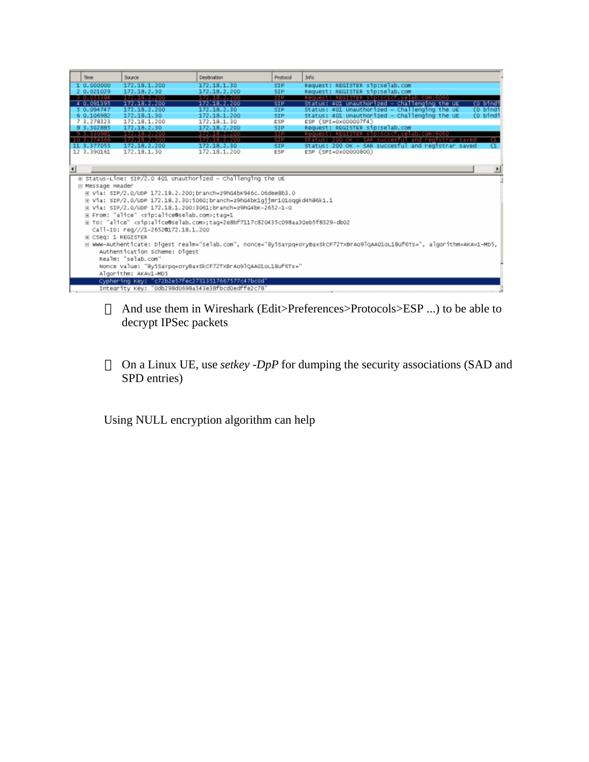|                                                                                                                          | <b>Time</b>                                                                                         | Source                                                       | Destination     | Protocol   | Info                                                      |  |  |
|--------------------------------------------------------------------------------------------------------------------------|-----------------------------------------------------------------------------------------------------|--------------------------------------------------------------|-----------------|------------|-----------------------------------------------------------|--|--|
|                                                                                                                          | 0.000000                                                                                            | 172.18.1.200                                                 | 172.18.1.30     | <b>SIP</b> | Request: REGISTER sip:selab.com                           |  |  |
|                                                                                                                          | 2 0.021029                                                                                          | 172.18.2.30                                                  | 172.18.2.200    | <b>SIP</b> | Request: REGISTER sip:selab.com                           |  |  |
|                                                                                                                          | 3 0 0 5 3 3 3 4                                                                                     | 172, 18, 2, 200                                              | 172, 18, 2, 200 | 5 DP       | Request: REGISTER sip:scscf.selab.com:6060                |  |  |
|                                                                                                                          | 4 0.091395                                                                                          | 172.18.2.200                                                 | 172.18.2.200    | <b>SIP</b> | CO bindi<br>Status: 401 Unauthorized - Challenging the UE |  |  |
|                                                                                                                          | 5 0.094747                                                                                          | 172.18.2.200                                                 | 172.18.2.30     | <b>SIP</b> | (0 bindi<br>Status: 401 Unauthorized - Challenging the UE |  |  |
|                                                                                                                          | 6 0.106982                                                                                          | 172.18.1.30                                                  | 172.18.1.200    | <b>SIP</b> | status: 401 Unauthorized - Challenging the UE<br>(0 bindi |  |  |
|                                                                                                                          | 7 3.278323                                                                                          | 172.18.1.200                                                 | 172.18.1.30     | ESP        | ESP (SPI=0x000007f4)                                      |  |  |
|                                                                                                                          | 8 3.302885                                                                                          | 172.18.2.30                                                  | 172.18.2.200    | <b>SIP</b> | Request: REGISTER sip:selab.com                           |  |  |
|                                                                                                                          | 9 3 3 3 0 9 5 1                                                                                     | 172, 18, 2, 200                                              | 172.18.2.200    | SIP        | Request: REGISTER sip:scscf.selab.com:6060                |  |  |
|                                                                                                                          | 10 3.374366                                                                                         | 172.18.2.200                                                 | 172.18.2.200    | SIP        | Status: 200 OK - SAR succesful and registrar saved        |  |  |
|                                                                                                                          | 11 3.377053                                                                                         | 172.18.2.200                                                 | 172.18.2.30     | SIP.       | Status: 200 OK - SAR succesful and registrar saved        |  |  |
|                                                                                                                          | 12 3.390161                                                                                         | 172.18.1.30                                                  | 172.18.1.200    | <b>ESP</b> | ESP (SPI=0x00000800)                                      |  |  |
|                                                                                                                          |                                                                                                     |                                                              |                 |            |                                                           |  |  |
| $\blacksquare$                                                                                                           |                                                                                                     |                                                              |                 |            |                                                           |  |  |
|                                                                                                                          |                                                                                                     |                                                              |                 |            |                                                           |  |  |
|                                                                                                                          |                                                                                                     | E Status-Line: SIP/2.0 401 unauthorized - Challenging the UE |                 |            |                                                           |  |  |
|                                                                                                                          | E Message Header                                                                                    |                                                              |                 |            |                                                           |  |  |
|                                                                                                                          | E Via: SIP/2.0/UDP 172.18.2.200; branch=z9hG4bK946c.06dee8b3.0                                      |                                                              |                 |            |                                                           |  |  |
|                                                                                                                          | @ Via: SIP/2.0/UDP 172.18.2.30:5060;branch=z9hG4bK1gjjmr101oqqkd4h86k1.1                            |                                                              |                 |            |                                                           |  |  |
|                                                                                                                          |                                                                                                     |                                                              |                 |            |                                                           |  |  |
|                                                                                                                          | H Via: SIP/2.0/UDP 172.18.1.200:3061;branch=z9hG4bK-2652-1-0                                        |                                                              |                 |            |                                                           |  |  |
|                                                                                                                          | E From: "alice" <sip:alice@selab.com>;tag=1</sip:alice@selab.com>                                   |                                                              |                 |            |                                                           |  |  |
|                                                                                                                          | E To: "alice" <sip:alice@selab.com>;tag=2e8bf7117c820435c098aa30eb5f8329-db02</sip:alice@selab.com> |                                                              |                 |            |                                                           |  |  |
|                                                                                                                          | Call-ID: reg///1-26520172.18.1.200                                                                  |                                                              |                 |            |                                                           |  |  |
|                                                                                                                          | <b>E CSeq: 1 REGISTER</b>                                                                           |                                                              |                 |            |                                                           |  |  |
| E WWW-Authenticate: Digest realm="selab.com", nonce="By5sarpq+oryBaxskcF72TxBrAo9lqAA01oL1Buf6Ts=", algorithm=AKAv1-MD5, |                                                                                                     |                                                              |                 |            |                                                           |  |  |
|                                                                                                                          | Authentication Scheme: Digest                                                                       |                                                              |                 |            |                                                           |  |  |
|                                                                                                                          |                                                                                                     |                                                              |                 |            |                                                           |  |  |
|                                                                                                                          |                                                                                                     | Realm: "selab.com"                                           |                 |            |                                                           |  |  |
|                                                                                                                          |                                                                                                     | Nonce Value: "8y5SaYpq+oYyBaxSkCF72TXBrAo9lQAA01oL18uf6Ts="  |                 |            |                                                           |  |  |
|                                                                                                                          |                                                                                                     | Algorithm: AKAv1-MD5                                         |                 |            |                                                           |  |  |
|                                                                                                                          |                                                                                                     | Cyphering Key: "c72b2e57fec27313517667577c47bc0d"            |                 |            |                                                           |  |  |
|                                                                                                                          |                                                                                                     | Integrity Key: "0db298d0698a543e38fbcd0edffe2c78"            |                 |            |                                                           |  |  |
|                                                                                                                          |                                                                                                     |                                                              |                 |            |                                                           |  |  |

And use them in Wireshark (Edit>Preferences>Protocols>ESP ...) to be able to decrypt IPSec packets

On a Linux UE, use *setkey -DpP* for dumping the security associations (SAD and SPD entries)

Using NULL encryption algorithm can help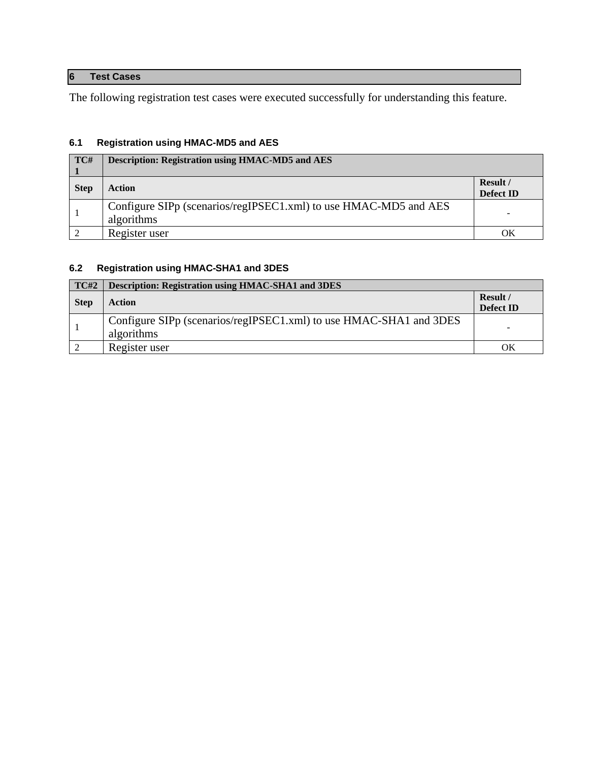# <span id="page-19-0"></span>**6 Test Cases**

The following registration test cases were executed successfully for understanding this feature.

# <span id="page-19-1"></span>**6.1 Registration using HMAC-MD5 and AES**

| TC#         | <b>Description: Registration using HMAC-MD5 and AES</b>                        |                       |
|-------------|--------------------------------------------------------------------------------|-----------------------|
| <b>Step</b> | <b>Action</b>                                                                  | Result /<br>Defect ID |
|             | Configure SIPp (scenarios/regIPSEC1.xml) to use HMAC-MD5 and AES<br>algorithms |                       |
|             | Register user                                                                  | OК                    |

# <span id="page-19-2"></span>**6.2 Registration using HMAC-SHA1 and 3DES**

| <b>TC#2</b> | <b>Description: Registration using HMAC-SHA1 and 3DES</b>                        |                       |
|-------------|----------------------------------------------------------------------------------|-----------------------|
| <b>Step</b> | <b>Action</b>                                                                    | Result /<br>Defect ID |
|             | Configure SIPp (scenarios/regIPSEC1.xml) to use HMAC-SHA1 and 3DES<br>algorithms |                       |
|             | Register user                                                                    | ΟK                    |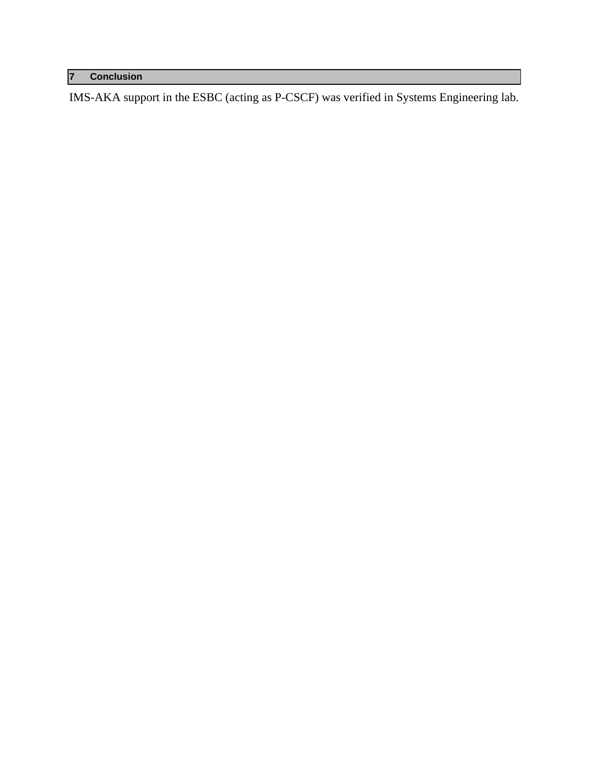# <span id="page-20-0"></span>**7 Conclusion**

IMS-AKA support in the ESBC (acting as P-CSCF) was verified in Systems Engineering lab.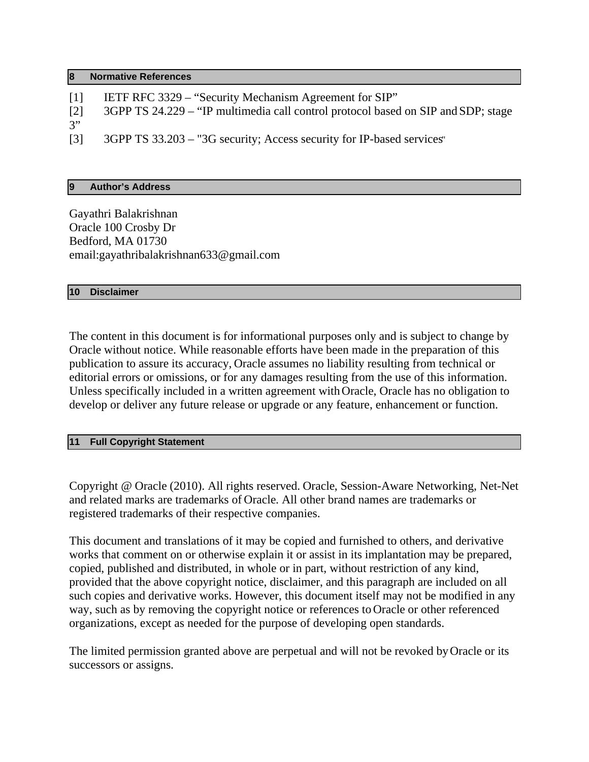#### <span id="page-21-0"></span>**8 Normative References**

[1] IETF RFC 3329 – "Security Mechanism Agreement for SIP" [2] 3GPP TS 24.229 – "IP multimedia call control protocol based on SIP and SDP; stage 3" [3] 3GPP TS 33.203 – "3G security; Access security for IP-based services"

## <span id="page-21-1"></span>**9 Author's Address**

Gayathri Balakrishnan Oracle 100 Crosby Dr Bedford, MA 01730 email:gayathribalakrishnan633@gmail.com

### <span id="page-21-2"></span>**10 Disclaimer**

The content in this document is for informational purposes only and is subject to change by Oracle without notice. While reasonable efforts have been made in the preparation of this publication to assure its accuracy, Oracle assumes no liability resulting from technical or editorial errors or omissions, or for any damages resulting from the use of this information. Unless specifically included in a written agreement with Oracle, Oracle has no obligation to develop or deliver any future release or upgrade or any feature, enhancement or function.

### <span id="page-21-3"></span>**11 Full Copyright Statement**

Copyright @ Oracle (2010). All rights reserved. Oracle, Session-Aware Networking, Net-Net and related marks are trademarks of Oracle. All other brand names are trademarks or registered trademarks of their respective companies.

This document and translations of it may be copied and furnished to others, and derivative works that comment on or otherwise explain it or assist in its implantation may be prepared, copied, published and distributed, in whole or in part, without restriction of any kind, provided that the above copyright notice, disclaimer, and this paragraph are included on all such copies and derivative works. However, this document itself may not be modified in any way, such as by removing the copyright notice or references to Oracle or other referenced organizations, except as needed for the purpose of developing open standards.

The limited permission granted above are perpetual and will not be revoked by Oracle or its successors or assigns.